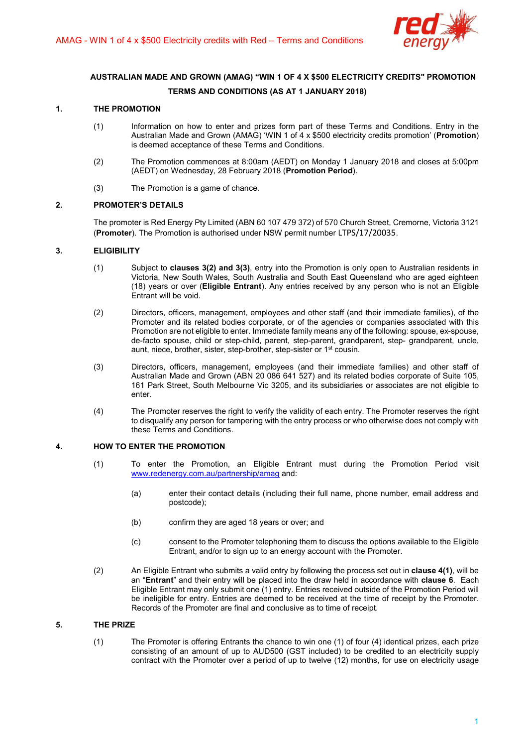

# AUSTRALIAN MADE AND GROWN (AMAG) "WIN 1 OF 4 X \$500 ELECTRICITY CREDITS" PROMOTION TERMS AND CONDITIONS (AS AT 1 JANUARY 2018)

# 1. THE PROMOTION

- (1) Information on how to enter and prizes form part of these Terms and Conditions. Entry in the Australian Made and Grown (AMAG) 'WIN 1 of 4 x \$500 electricity credits promotion' (Promotion) is deemed acceptance of these Terms and Conditions.
- (2) The Promotion commences at 8:00am (AEDT) on Monday 1 January 2018 and closes at 5:00pm (AEDT) on Wednesday, 28 February 2018 (Promotion Period).
- (3) The Promotion is a game of chance.

## 2. PROMOTER'S DETAILS

The promoter is Red Energy Pty Limited (ABN 60 107 479 372) of 570 Church Street, Cremorne, Victoria 3121 (Promoter). The Promotion is authorised under NSW permit number LTPS/17/20035.

## 3. ELIGIBILITY

- (1) Subject to clauses 3(2) and 3(3), entry into the Promotion is only open to Australian residents in Victoria, New South Wales, South Australia and South East Queensland who are aged eighteen (18) years or over (Eligible Entrant). Any entries received by any person who is not an Eligible Entrant will be void.
- (2) Directors, officers, management, employees and other staff (and their immediate families), of the Promoter and its related bodies corporate, or of the agencies or companies associated with this Promotion are not eligible to enter. Immediate family means any of the following: spouse, ex-spouse, de-facto spouse, child or step-child, parent, step-parent, grandparent, step- grandparent, uncle, aunt, niece, brother, sister, step-brother, step-sister or 1st cousin.
- (3) Directors, officers, management, employees (and their immediate families) and other staff of Australian Made and Grown (ABN 20 086 641 527) and its related bodies corporate of Suite 105, 161 Park Street, South Melbourne Vic 3205, and its subsidiaries or associates are not eligible to enter.
- (4) The Promoter reserves the right to verify the validity of each entry. The Promoter reserves the right to disqualify any person for tampering with the entry process or who otherwise does not comply with these Terms and Conditions.

## 4. HOW TO ENTER THE PROMOTION

- (1) To enter the Promotion, an Eligible Entrant must during the Promotion Period visit www.redenergy.com.au/partnership/amag and:
	- (a) enter their contact details (including their full name, phone number, email address and postcode);
	- (b) confirm they are aged 18 years or over; and
	- (c) consent to the Promoter telephoning them to discuss the options available to the Eligible Entrant, and/or to sign up to an energy account with the Promoter.
- (2) An Eligible Entrant who submits a valid entry by following the process set out in clause 4(1), will be an "Entrant" and their entry will be placed into the draw held in accordance with clause 6. Each Eligible Entrant may only submit one (1) entry. Entries received outside of the Promotion Period will be ineligible for entry. Entries are deemed to be received at the time of receipt by the Promoter. Records of the Promoter are final and conclusive as to time of receipt.

## 5. THE PRIZE

(1) The Promoter is offering Entrants the chance to win one (1) of four (4) identical prizes, each prize consisting of an amount of up to AUD500 (GST included) to be credited to an electricity supply contract with the Promoter over a period of up to twelve (12) months, for use on electricity usage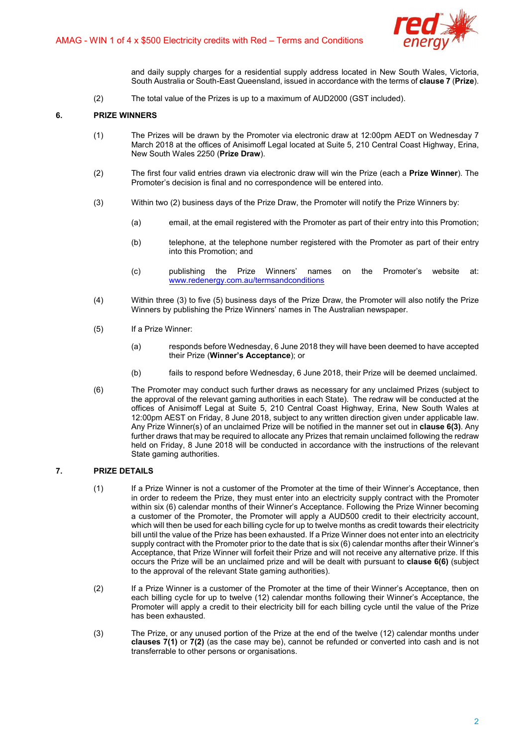

and daily supply charges for a residential supply address located in New South Wales, Victoria, South Australia or South-East Queensland, issued in accordance with the terms of clause 7 (Prize).

(2) The total value of the Prizes is up to a maximum of AUD2000 (GST included).

# 6. PRIZE WINNERS

- (1) The Prizes will be drawn by the Promoter via electronic draw at 12:00pm AEDT on Wednesday 7 March 2018 at the offices of Anisimoff Legal located at Suite 5, 210 Central Coast Highway, Erina, New South Wales 2250 (Prize Draw).
- (2) The first four valid entries drawn via electronic draw will win the Prize (each a Prize Winner). The Promoter's decision is final and no correspondence will be entered into.
- (3) Within two (2) business days of the Prize Draw, the Promoter will notify the Prize Winners by:
	- (a) email, at the email registered with the Promoter as part of their entry into this Promotion;
	- (b) telephone, at the telephone number registered with the Promoter as part of their entry into this Promotion; and
	- (c) publishing the Prize Winners' names on the Promoter's website at: www.redenergy.com.au/termsandconditions
- (4) Within three (3) to five (5) business days of the Prize Draw, the Promoter will also notify the Prize Winners by publishing the Prize Winners' names in The Australian newspaper.
- (5) If a Prize Winner:
	- (a) responds before Wednesday, 6 June 2018 they will have been deemed to have accepted their Prize (Winner's Acceptance); or
	- (b) fails to respond before Wednesday, 6 June 2018, their Prize will be deemed unclaimed.
- (6) The Promoter may conduct such further draws as necessary for any unclaimed Prizes (subject to the approval of the relevant gaming authorities in each State). The redraw will be conducted at the offices of Anisimoff Legal at Suite 5, 210 Central Coast Highway, Erina, New South Wales at 12:00pm AEST on Friday, 8 June 2018, subject to any written direction given under applicable law. Any Prize Winner(s) of an unclaimed Prize will be notified in the manner set out in clause 6(3). Any further draws that may be required to allocate any Prizes that remain unclaimed following the redraw held on Friday, 8 June 2018 will be conducted in accordance with the instructions of the relevant State gaming authorities.

## 7. PRIZE DETAILS

- (1) If a Prize Winner is not a customer of the Promoter at the time of their Winner's Acceptance, then in order to redeem the Prize, they must enter into an electricity supply contract with the Promoter within six (6) calendar months of their Winner's Acceptance. Following the Prize Winner becoming a customer of the Promoter, the Promoter will apply a AUD500 credit to their electricity account, which will then be used for each billing cycle for up to twelve months as credit towards their electricity bill until the value of the Prize has been exhausted. If a Prize Winner does not enter into an electricity supply contract with the Promoter prior to the date that is six (6) calendar months after their Winner's Acceptance, that Prize Winner will forfeit their Prize and will not receive any alternative prize. If this occurs the Prize will be an unclaimed prize and will be dealt with pursuant to clause 6(6) (subject to the approval of the relevant State gaming authorities).
- (2) If a Prize Winner is a customer of the Promoter at the time of their Winner's Acceptance, then on each billing cycle for up to twelve (12) calendar months following their Winner's Acceptance, the Promoter will apply a credit to their electricity bill for each billing cycle until the value of the Prize has been exhausted.
- (3) The Prize, or any unused portion of the Prize at the end of the twelve (12) calendar months under clauses 7(1) or 7(2) (as the case may be), cannot be refunded or converted into cash and is not transferrable to other persons or organisations.